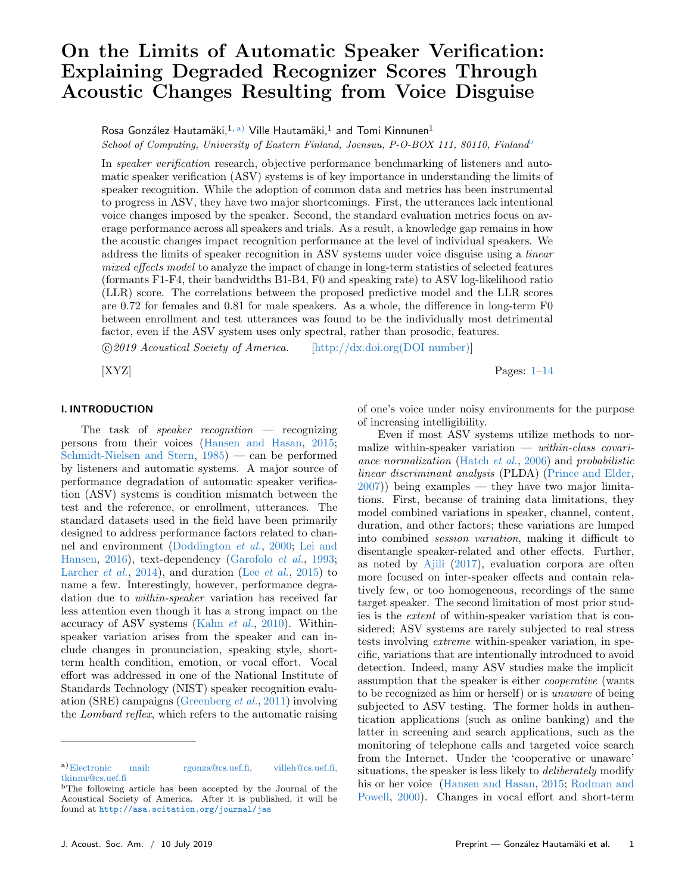# On the Limits of Automatic Speaker Verification: Explaining Degraded Recognizer Scores Through Acoustic Changes Resulting from Voice Disguise

Rosa González Hautamäki, $^{1,\mathrm{a)}}$  $^{1,\mathrm{a)}}$  $^{1,\mathrm{a)}}$  Ville Hautamäki, $^1$  and Tomi Kinnunen $^1$ 

School of Computing, University of Eastern Finland, Joensuu, P-O-BOX 111, 80110, Finland<sup>[b](#page-0-1)</sup>

<span id="page-0-2"></span>In *speaker verification* research, objective performance benchmarking of listeners and automatic speaker verification (ASV) systems is of key importance in understanding the limits of speaker recognition. While the adoption of common data and metrics has been instrumental to progress in ASV, they have two major shortcomings. First, the utterances lack intentional voice changes imposed by the speaker. Second, the standard evaluation metrics focus on average performance across all speakers and trials. As a result, a knowledge gap remains in how the acoustic changes impact recognition performance at the level of individual speakers. We address the limits of speaker recognition in ASV systems under voice disguise using a linear mixed effects model to analyze the impact of change in long-term statistics of selected features (formants F1-F4, their bandwidths B1-B4, F0 and speaking rate) to ASV log-likelihood ratio (LLR) score. The correlations between the proposed predictive model and the LLR scores are 0.72 for females and 0.81 for male speakers. As a whole, the difference in long-term F0 between enrollment and test utterances was found to be the individually most detrimental factor, even if the ASV system uses only spectral, rather than prosodic, features.

c 2019 Acoustical Society of America. [\[http://dx.doi.org\(DOI number\)\]](http://dx.doi.org(DOI number))

 $[XYZ]$  Pages:  $1-14$  $1-14$ 

# I. INTRODUCTION

The task of *speaker recognition* — recognizing persons from their voices [\(Hansen and Hasan,](#page-12-0) [2015;](#page-12-0) [Schmidt-Nielsen and Stern,](#page-12-1) [1985\)](#page-12-1) — can be performed by listeners and automatic systems. A major source of performance degradation of automatic speaker verification (ASV) systems is condition mismatch between the test and the reference, or enrollment, utterances. The standard datasets used in the field have been primarily designed to address performance factors related to channel and environment [\(Doddington](#page-12-2) et al., [2000;](#page-12-2) [Lei and](#page-12-3) [Hansen,](#page-12-3) [2016\)](#page-12-3), text-dependency [\(Garofolo](#page-12-4) et al., [1993;](#page-12-4) [Larcher](#page-12-5)  $et al., 2014$  $et al., 2014$ ), and duration (Lee  $et al., 2015$ ) to name a few. Interestingly, however, performance degradation due to within-speaker variation has received far less attention even though it has a strong impact on the accuracy of ASV systems [\(Kahn](#page-12-7) et al., [2010\)](#page-12-7). Withinspeaker variation arises from the speaker and can include changes in pronunciation, speaking style, shortterm health condition, emotion, or vocal effort. Vocal effort was addressed in one of the National Institute of Standards Technology (NIST) speaker recognition evaluation (SRE) campaigns [\(Greenberg](#page-12-8) et al., [2011\)](#page-12-8) involving the Lombard reflex, which refers to the automatic raising of one's voice under noisy environments for the purpose of increasing intelligibility.

Even if most ASV systems utilize methods to normalize within-speaker variation — within-class covariance normalization [\(Hatch](#page-12-9) et al., [2006\)](#page-12-9) and probabilistic linear discriminant analysis (PLDA) [\(Prince and Elder,](#page-12-10)  $(2007)$  $(2007)$ ) being examples — they have two major limitations. First, because of training data limitations, they model combined variations in speaker, channel, content, duration, and other factors; these variations are lumped into combined session variation, making it difficult to disentangle speaker-related and other effects. Further, as noted by [Ajili](#page-11-0) [\(2017\)](#page-11-0), evaluation corpora are often more focused on inter-speaker effects and contain relatively few, or too homogeneous, recordings of the same target speaker. The second limitation of most prior studies is the extent of within-speaker variation that is considered; ASV systems are rarely subjected to real stress tests involving extreme within-speaker variation, in specific, variations that are intentionally introduced to avoid detection. Indeed, many ASV studies make the implicit assumption that the speaker is either cooperative (wants to be recognized as him or herself) or is unaware of being subjected to ASV testing. The former holds in authentication applications (such as online banking) and the latter in screening and search applications, such as the monitoring of telephone calls and targeted voice search from the Internet. Under the 'cooperative or unaware' situations, the speaker is less likely to *deliberately* modify his or her voice [\(Hansen and Hasan,](#page-12-0) [2015;](#page-12-0) [Rodman and](#page-12-11) [Powell,](#page-12-11) [2000\)](#page-12-11). Changes in vocal effort and short-term

<span id="page-0-0"></span>a)[Electronic mail: rgonza@cs.uef.fi, villeh@cs.uef.fi,](mailto:Electronic mail: rgonza@cs.uef.fi, villeh@cs.uef.fi, tkinnu@cs.uef.fi) [tkinnu@cs.uef.fi](mailto:Electronic mail: rgonza@cs.uef.fi, villeh@cs.uef.fi, tkinnu@cs.uef.fi)

<span id="page-0-1"></span><sup>b</sup>The following article has been accepted by the Journal of the Acoustical Society of America. After it is published, it will be found at <http://asa.scitation.org/journal/jas>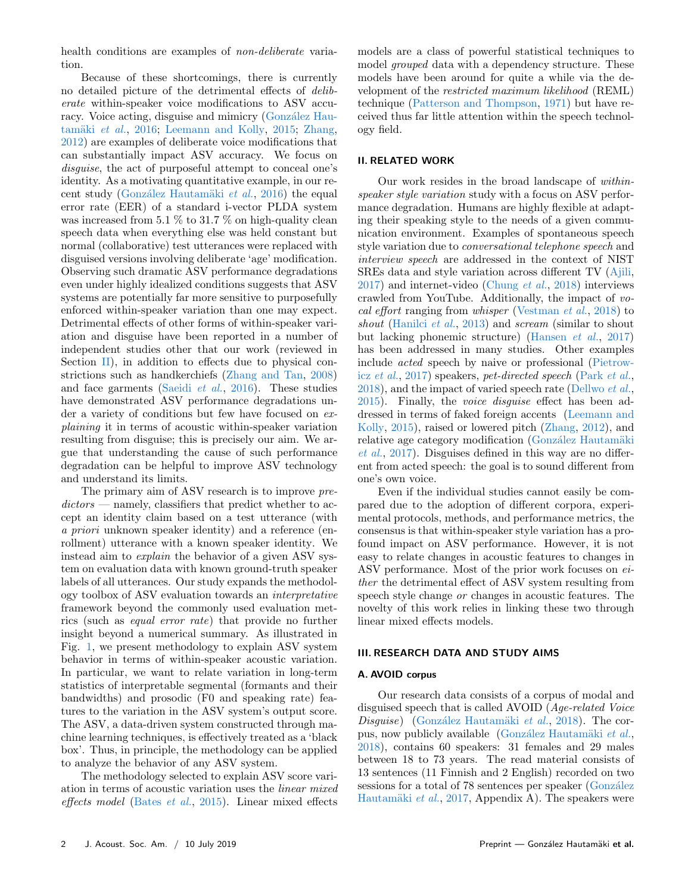health conditions are examples of *non-deliberate* variation.

Because of these shortcomings, there is currently no detailed picture of the detrimental effects of deliberate within-speaker voice modifications to ASV accuracy. Voice acting, disguise and mimicry (González Hau-tamäki et al., [2016;](#page-12-12) [Leemann and Kolly,](#page-12-13) [2015;](#page-12-13) [Zhang,](#page-13-1) [2012\)](#page-13-1) are examples of deliberate voice modifications that can substantially impact ASV accuracy. We focus on disguise, the act of purposeful attempt to conceal one's identity. As a motivating quantitative example, in our re-cent study (González Hautamäki et al., [2016\)](#page-12-12) the equal error rate (EER) of a standard i-vector PLDA system was increased from 5.1 % to 31.7 % on high-quality clean speech data when everything else was held constant but normal (collaborative) test utterances were replaced with disguised versions involving deliberate 'age' modification. Observing such dramatic ASV performance degradations even under highly idealized conditions suggests that ASV systems are potentially far more sensitive to purposefully enforced within-speaker variation than one may expect. Detrimental effects of other forms of within-speaker variation and disguise have been reported in a number of independent studies other that our work (reviewed in Section [II\)](#page-1-0), in addition to effects due to physical constrictions such as handkerchiefs [\(Zhang and Tan,](#page-13-2) [2008\)](#page-13-2) and face garments [\(Saeidi](#page-12-14) et al., [2016\)](#page-12-14). These studies have demonstrated ASV performance degradations under a variety of conditions but few have focused on explaining it in terms of acoustic within-speaker variation resulting from disguise; this is precisely our aim. We argue that understanding the cause of such performance degradation can be helpful to improve ASV technology and understand its limits.

The primary aim of ASV research is to improve pre $dictors$  — namely, classifiers that predict whether to accept an identity claim based on a test utterance (with a priori unknown speaker identity) and a reference (enrollment) utterance with a known speaker identity. We instead aim to explain the behavior of a given ASV system on evaluation data with known ground-truth speaker labels of all utterances. Our study expands the methodology toolbox of ASV evaluation towards an interpretative framework beyond the commonly used evaluation metrics (such as equal error rate) that provide no further insight beyond a numerical summary. As illustrated in Fig. [1,](#page-2-0) we present methodology to explain ASV system behavior in terms of within-speaker acoustic variation. In particular, we want to relate variation in long-term statistics of interpretable segmental (formants and their bandwidths) and prosodic (F0 and speaking rate) features to the variation in the ASV system's output score. The ASV, a data-driven system constructed through machine learning techniques, is effectively treated as a 'black box'. Thus, in principle, the methodology can be applied to analyze the behavior of any ASV system.

The methodology selected to explain ASV score variation in terms of acoustic variation uses the linear mixed effects model [\(Bates](#page-11-1) et al., [2015\)](#page-11-1). Linear mixed effects

models are a class of powerful statistical techniques to model grouped data with a dependency structure. These models have been around for quite a while via the development of the restricted maximum likelihood (REML) technique [\(Patterson and Thompson,](#page-12-15) [1971\)](#page-12-15) but have received thus far little attention within the speech technology field.

## <span id="page-1-0"></span>II. RELATED WORK

Our work resides in the broad landscape of withinspeaker style variation study with a focus on ASV performance degradation. Humans are highly flexible at adapting their speaking style to the needs of a given communication environment. Examples of spontaneous speech style variation due to conversational telephone speech and interview speech are addressed in the context of NIST SREs data and style variation across different TV [\(Ajili,](#page-11-0)  $2017$ ) and internet-video [\(Chung](#page-11-2) *et al.*,  $2018$ ) interviews crawled from YouTube. Additionally, the impact of vocal effort ranging from whisper [\(Vestman](#page-13-3) et al., [2018\)](#page-13-3) to shout [\(Hanilci](#page-12-16) et al., [2013\)](#page-12-16) and scream (similar to shout but lacking phonemic structure) [\(Hansen](#page-12-17) et al., [2017\)](#page-12-17) has been addressed in many studies. Other examples include acted speech by naive or professional [\(Pietrow](#page-12-18)icz [et al.](#page-12-18), [2017\)](#page-12-18) speakers, pet-directed speech (Park [et al.](#page-12-19), [2018\)](#page-12-19), and the impact of varied speech rate [\(Dellwo](#page-12-20) et al., [2015\)](#page-12-20). Finally, the voice disguise effect has been addressed in terms of faked foreign accents [\(Leemann and](#page-12-13) [Kolly,](#page-12-13) [2015\)](#page-12-13), raised or lowered pitch [\(Zhang,](#page-13-1) [2012\)](#page-13-1), and relative age category modification (González Hautamäki) [et al.](#page-12-21), [2017\)](#page-12-21). Disguises defined in this way are no different from acted speech: the goal is to sound different from one's own voice.

Even if the individual studies cannot easily be compared due to the adoption of different corpora, experimental protocols, methods, and performance metrics, the consensus is that within-speaker style variation has a profound impact on ASV performance. However, it is not easy to relate changes in acoustic features to changes in ASV performance. Most of the prior work focuses on either the detrimental effect of ASV system resulting from speech style change or changes in acoustic features. The novelty of this work relies in linking these two through linear mixed effects models.

## III. RESEARCH DATA AND STUDY AIMS

## A. AVOID corpus

Our research data consists of a corpus of modal and disguised speech that is called AVOID (Age-related Voice  $Disquise$ ) (González Hautamäki et al., [2018\)](#page-12-22). The corpus, now publicly available (González Hautamäki et al., [2018\)](#page-12-23), contains 60 speakers: 31 females and 29 males between 18 to 73 years. The read material consists of 13 sentences (11 Finnish and 2 English) recorded on two sessions for a total of 78 sentences per speaker (González Hautamäki et al., [2017,](#page-12-21) Appendix A). The speakers were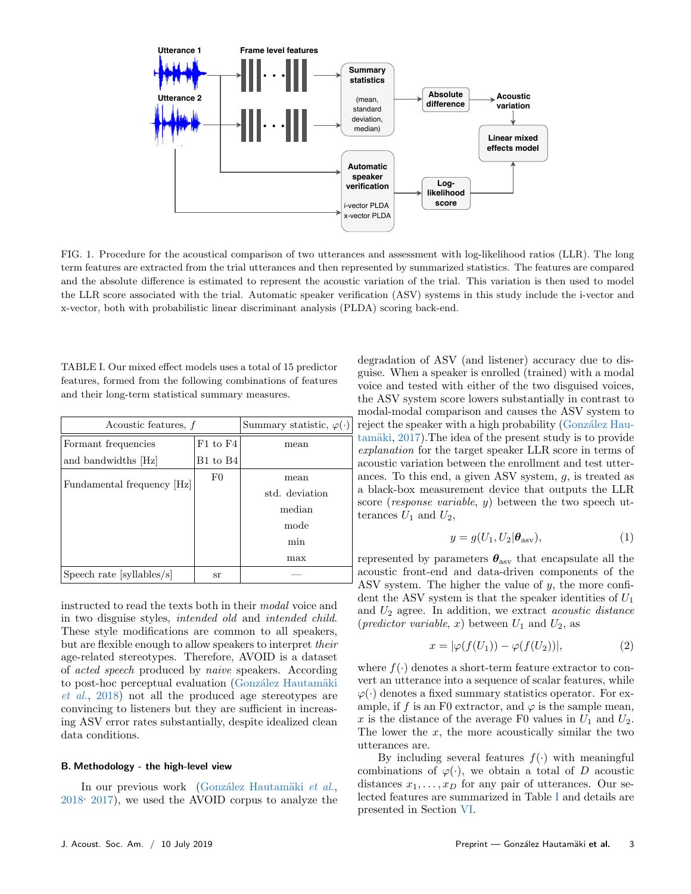

<span id="page-2-0"></span>FIG. 1. Procedure for the acoustical comparison of two utterances and assessment with log-likelihood ratios (LLR). The long term features are extracted from the trial utterances and then represented by summarized statistics. The features are compared and the absolute difference is estimated to represent the acoustic variation of the trial. This variation is then used to model the LLR score associated with the trial. Automatic speaker verification (ASV) systems in this study include the i-vector and x-vector, both with probabilistic linear discriminant analysis (PLDA) scoring back-end.

<span id="page-2-1"></span>TABLE I. Our mixed effect models uses a total of 15 predictor features, formed from the following combinations of features and their long-term statistical summary measures.

| Acoustic features, f        | Summary statistic, $\varphi(\cdot)$ |                |
|-----------------------------|-------------------------------------|----------------|
| Formant frequencies         | F1 to F4                            | mean           |
| and bandwidths [Hz]         | B1 to B4                            |                |
| Fundamental frequency [Hz]  | F0                                  | mean           |
|                             |                                     | std. deviation |
|                             |                                     | median         |
|                             |                                     | mode           |
|                             |                                     | min            |
|                             |                                     | max            |
| Speech rate $[syllabels/s]$ | sr                                  |                |

instructed to read the texts both in their modal voice and in two disguise styles, intended old and intended child. These style modifications are common to all speakers, but are flexible enough to allow speakers to interpret their age-related stereotypes. Therefore, AVOID is a dataset of acted speech produced by naive speakers. According to post-hoc perceptual evaluation (González Hautamäki [et al.](#page-12-22), [2018\)](#page-12-22) not all the produced age stereotypes are convincing to listeners but they are sufficient in increasing ASV error rates substantially, despite idealized clean data conditions.

#### B. Methodology - the high-level view

In our previous work (González Hautamäki et al., [2018](#page-12-22), [2017\)](#page-12-21), we used the AVOID corpus to analyze the

degradation of ASV (and listener) accuracy due to disguise. When a speaker is enrolled (trained) with a modal voice and tested with either of the two disguised voices, the ASV system score lowers substantially in contrast to modal-modal comparison and causes the ASV system to reject the speaker with a high probability (González Hau-tamäki, [2017\)](#page-12-24). The idea of the present study is to provide explanation for the target speaker LLR score in terms of acoustic variation between the enrollment and test utterances. To this end, a given ASV system, g, is treated as a black-box measurement device that outputs the LLR score (*response variable*,  $y$ ) between the two speech utterances  $U_1$  and  $U_2$ ,

$$
y = g(U_1, U_2 | \boldsymbol{\theta}_{\text{asv}}), \tag{1}
$$

represented by parameters  $\theta_{\rm asv}$  that encapsulate all the acoustic front-end and data-driven components of the ASV system. The higher the value of  $y$ , the more confident the ASV system is that the speaker identities of  $U_1$ and  $U_2$  agree. In addition, we extract *acoustic distance* (*predictor variable, x*) between  $U_1$  and  $U_2$ , as

$$
x = |\varphi(f(U_1)) - \varphi(f(U_2))|,\tag{2}
$$

where  $f(\cdot)$  denotes a short-term feature extractor to convert an utterance into a sequence of scalar features, while  $\varphi(\cdot)$  denotes a fixed summary statistics operator. For example, if f is an F0 extractor, and  $\varphi$  is the sample mean, x is the distance of the average F0 values in  $U_1$  and  $U_2$ . The lower the  $x$ , the more acoustically similar the two utterances are.

By including several features  $f(\cdot)$  with meaningful combinations of  $\varphi(\cdot)$ , we obtain a total of D acoustic distances  $x_1, \ldots, x_D$  for any pair of utterances. Our selected features are summarized in Table [I](#page-2-1) and details are presented in Section [VI.](#page-4-0)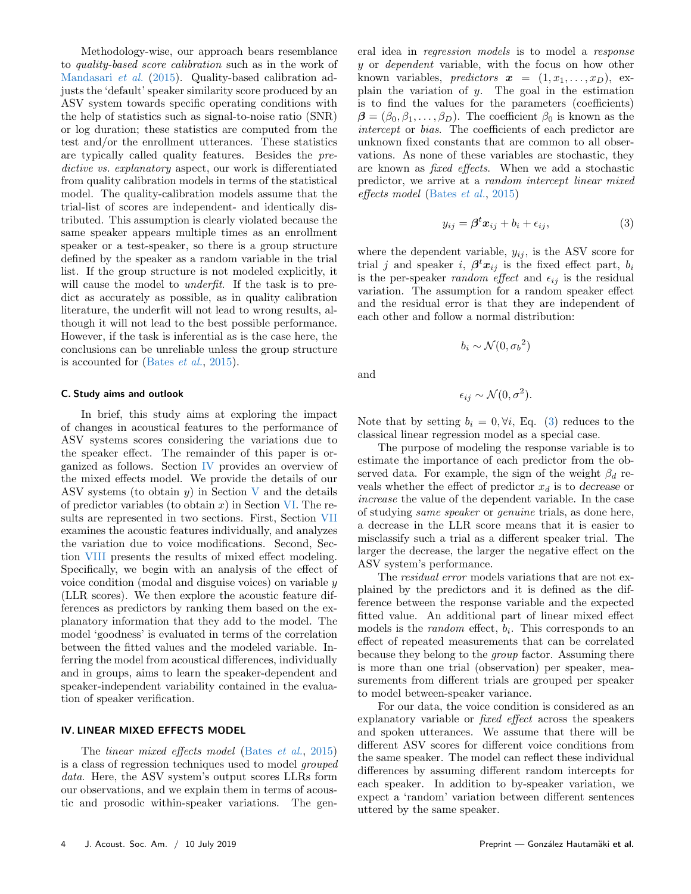Methodology-wise, our approach bears resemblance to quality-based score calibration such as in the work of [Mandasari](#page-12-25) et al. [\(2015\)](#page-12-25). Quality-based calibration adjusts the 'default' speaker similarity score produced by an ASV system towards specific operating conditions with the help of statistics such as signal-to-noise ratio (SNR) or log duration; these statistics are computed from the test and/or the enrollment utterances. These statistics are typically called quality features. Besides the predictive vs. explanatory aspect, our work is differentiated from quality calibration models in terms of the statistical model. The quality-calibration models assume that the trial-list of scores are independent- and identically distributed. This assumption is clearly violated because the same speaker appears multiple times as an enrollment speaker or a test-speaker, so there is a group structure defined by the speaker as a random variable in the trial list. If the group structure is not modeled explicitly, it will cause the model to *underfit*. If the task is to predict as accurately as possible, as in quality calibration literature, the underfit will not lead to wrong results, although it will not lead to the best possible performance. However, if the task is inferential as is the case here, the conclusions can be unreliable unless the group structure is accounted for [\(Bates](#page-11-1) et al., [2015\)](#page-11-1).

#### C. Study aims and outlook

In brief, this study aims at exploring the impact of changes in acoustical features to the performance of ASV systems scores considering the variations due to the speaker effect. The remainder of this paper is organized as follows. Section [IV](#page-3-0) provides an overview of the mixed effects model. We provide the details of our AS[V](#page-4-1) systems (to obtain  $y$ ) in Section V and the details of predictor variables (to obtain  $x$ ) in Section [VI.](#page-4-0) The results are represented in two sections. First, Section [VII](#page-6-0) examines the acoustic features individually, and analyzes the variation due to voice modifications. Second, Section [VIII](#page-6-1) presents the results of mixed effect modeling. Specifically, we begin with an analysis of the effect of voice condition (modal and disguise voices) on variable y (LLR scores). We then explore the acoustic feature differences as predictors by ranking them based on the explanatory information that they add to the model. The model 'goodness' is evaluated in terms of the correlation between the fitted values and the modeled variable. Inferring the model from acoustical differences, individually and in groups, aims to learn the speaker-dependent and speaker-independent variability contained in the evaluation of speaker verification.

# <span id="page-3-0"></span>IV. LINEAR MIXED EFFECTS MODEL

The linear mixed effects model [\(Bates](#page-11-1) et al., [2015\)](#page-11-1) is a class of regression techniques used to model grouped data. Here, the ASV system's output scores LLRs form our observations, and we explain them in terms of acoustic and prosodic within-speaker variations. The general idea in regression models is to model a response y or dependent variable, with the focus on how other known variables, *predictors*  $\boldsymbol{x} = (1, x_1, \ldots, x_D)$ , explain the variation of  $y$ . The goal in the estimation is to find the values for the parameters (coefficients)  $\beta = (\beta_0, \beta_1, \dots, \beta_D)$ . The coefficient  $\beta_0$  is known as the intercept or bias. The coefficients of each predictor are unknown fixed constants that are common to all observations. As none of these variables are stochastic, they are known as fixed effects. When we add a stochastic predictor, we arrive at a random intercept linear mixed effects model [\(Bates](#page-11-1) et al., [2015\)](#page-11-1)

<span id="page-3-1"></span>
$$
y_{ij} = \beta^t x_{ij} + b_i + \epsilon_{ij}, \tag{3}
$$

where the dependent variable,  $y_{ij}$ , is the ASV score for trial j and speaker i,  $\beta^t x_{ij}$  is the fixed effect part,  $b_i$ is the per-speaker *random effect* and  $\epsilon_{ij}$  is the residual variation. The assumption for a random speaker effect and the residual error is that they are independent of each other and follow a normal distribution:

$$
b_i \sim \mathcal{N}(0, {\sigma_b}^2)
$$

and

$$
\epsilon_{ij} \sim \mathcal{N}(0, \sigma^2).
$$

Note that by setting  $b_i = 0, \forall i$ , Eq. [\(3\)](#page-3-1) reduces to the classical linear regression model as a special case.

The purpose of modeling the response variable is to estimate the importance of each predictor from the observed data. For example, the sign of the weight  $\beta_d$  reveals whether the effect of predictor  $x_d$  is to decrease or increase the value of the dependent variable. In the case of studying same speaker or genuine trials, as done here, a decrease in the LLR score means that it is easier to misclassify such a trial as a different speaker trial. The larger the decrease, the larger the negative effect on the ASV system's performance.

The residual error models variations that are not explained by the predictors and it is defined as the difference between the response variable and the expected fitted value. An additional part of linear mixed effect models is the *random* effect,  $b_i$ . This corresponds to an effect of repeated measurements that can be correlated because they belong to the group factor. Assuming there is more than one trial (observation) per speaker, measurements from different trials are grouped per speaker to model between-speaker variance.

For our data, the voice condition is considered as an explanatory variable or fixed effect across the speakers and spoken utterances. We assume that there will be different ASV scores for different voice conditions from the same speaker. The model can reflect these individual differences by assuming different random intercepts for each speaker. In addition to by-speaker variation, we expect a 'random' variation between different sentences uttered by the same speaker.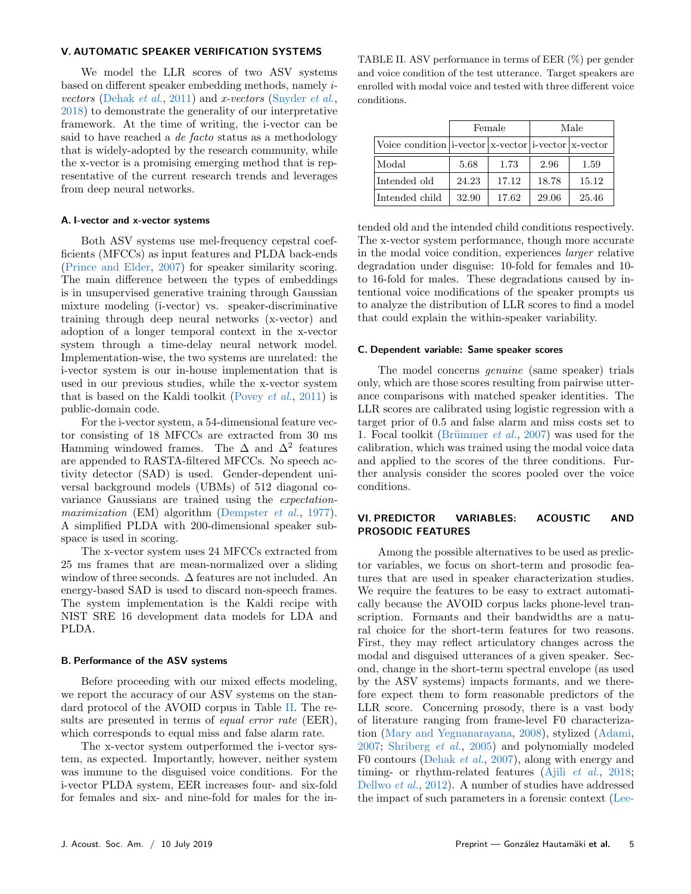# <span id="page-4-1"></span>V. AUTOMATIC SPEAKER VERIFICATION SYSTEMS

We model the LLR scores of two ASV systems based on different speaker embedding methods, namely i-vectors [\(Dehak](#page-12-26) et al., [2011\)](#page-12-26) and x-vectors [\(Snyder](#page-13-4) et al., [2018\)](#page-13-4) to demonstrate the generality of our interpretative framework. At the time of writing, the i-vector can be said to have reached a de facto status as a methodology that is widely-adopted by the research community, while the x-vector is a promising emerging method that is representative of the current research trends and leverages from deep neural networks.

#### A. I-vector and x-vector systems

Both ASV systems use mel-frequency cepstral coefficients (MFCCs) as input features and PLDA back-ends [\(Prince and Elder,](#page-12-10) [2007\)](#page-12-10) for speaker similarity scoring. The main difference between the types of embeddings is in unsupervised generative training through Gaussian mixture modeling (i-vector) vs. speaker-discriminative training through deep neural networks (x-vector) and adoption of a longer temporal context in the x-vector system through a time-delay neural network model. Implementation-wise, the two systems are unrelated: the i-vector system is our in-house implementation that is used in our previous studies, while the x-vector system that is based on the Kaldi toolkit [\(Povey](#page-12-27) et al., [2011\)](#page-12-27) is public-domain code.

For the i-vector system, a 54-dimensional feature vector consisting of 18 MFCCs are extracted from 30 ms Hamming windowed frames. The  $\Delta$  and  $\Delta^2$  features are appended to RASTA-filtered MFCCs. No speech activity detector (SAD) is used. Gender-dependent universal background models (UBMs) of 512 diagonal covariance Gaussians are trained using the expectation-maximization (EM) algorithm [\(Dempster](#page-12-28) *et al.*, [1977\)](#page-12-28). A simplified PLDA with 200-dimensional speaker subspace is used in scoring.

The x-vector system uses 24 MFCCs extracted from 25 ms frames that are mean-normalized over a sliding window of three seconds. ∆ features are not included. An energy-based SAD is used to discard non-speech frames. The system implementation is the Kaldi recipe with NIST SRE 16 development data models for LDA and PLDA.

#### B. Performance of the ASV systems

Before proceeding with our mixed effects modeling, we report the accuracy of our ASV systems on the standard protocol of the AVOID corpus in Table [II.](#page-4-2) The results are presented in terms of *equal error rate* (EER), which corresponds to equal miss and false alarm rate.

The x-vector system outperformed the i-vector system, as expected. Importantly, however, neither system was immune to the disguised voice conditions. For the i-vector PLDA system, EER increases four- and six-fold for females and six- and nine-fold for males for the in-

<span id="page-4-2"></span>TABLE II. ASV performance in terms of EER (%) per gender and voice condition of the test utterance. Target speakers are enrolled with modal voice and tested with three different voice conditions.

|                                                     | Female |       | Male  |       |
|-----------------------------------------------------|--------|-------|-------|-------|
| Voice condition i-vector x-vector i-vector x-vector |        |       |       |       |
| Modal                                               | 5.68   | 1.73  | 2.96  | 1.59  |
| Intended old                                        | 24.23  | 17.12 | 18.78 | 15.12 |
| Intended child                                      | 32.90  | 17.62 | 29.06 | 25.46 |

tended old and the intended child conditions respectively. The x-vector system performance, though more accurate in the modal voice condition, experiences larger relative degradation under disguise: 10-fold for females and 10 to 16-fold for males. These degradations caused by intentional voice modifications of the speaker prompts us to analyze the distribution of LLR scores to find a model that could explain the within-speaker variability.

#### C. Dependent variable: Same speaker scores

The model concerns genuine (same speaker) trials only, which are those scores resulting from pairwise utterance comparisons with matched speaker identities. The LLR scores are calibrated using logistic regression with a target prior of 0.5 and false alarm and miss costs set to 1. Focal toolkit (Brümmer *et al.*, [2007\)](#page-11-3) was used for the calibration, which was trained using the modal voice data and applied to the scores of the three conditions. Further analysis consider the scores pooled over the voice conditions.

# <span id="page-4-0"></span>VI. PREDICTOR VARIABLES: ACOUSTIC AND PROSODIC FEATURES

Among the possible alternatives to be used as predictor variables, we focus on short-term and prosodic features that are used in speaker characterization studies. We require the features to be easy to extract automatically because the AVOID corpus lacks phone-level transcription. Formants and their bandwidths are a natural choice for the short-term features for two reasons. First, they may reflect articulatory changes across the modal and disguised utterances of a given speaker. Second, change in the short-term spectral envelope (as used by the ASV systems) impacts formants, and we therefore expect them to form reasonable predictors of the LLR score. Concerning prosody, there is a vast body of literature ranging from frame-level F0 characterization [\(Mary and Yegnanarayana,](#page-12-29) [2008\)](#page-12-29), stylized [\(Adami,](#page-11-4) [2007;](#page-11-4) [Shriberg](#page-12-30) et al., [2005\)](#page-12-30) and polynomially modeled F0 contours [\(Dehak](#page-12-31) et al., [2007\)](#page-12-31), along with energy and timing- or rhythm-related features (Ajili [et al.](#page-11-5), [2018;](#page-11-5) [Dellwo](#page-12-32) et al., [2012\)](#page-12-32). A number of studies have addressed the impact of such parameters in a forensic context [\(Lee-](#page-12-33)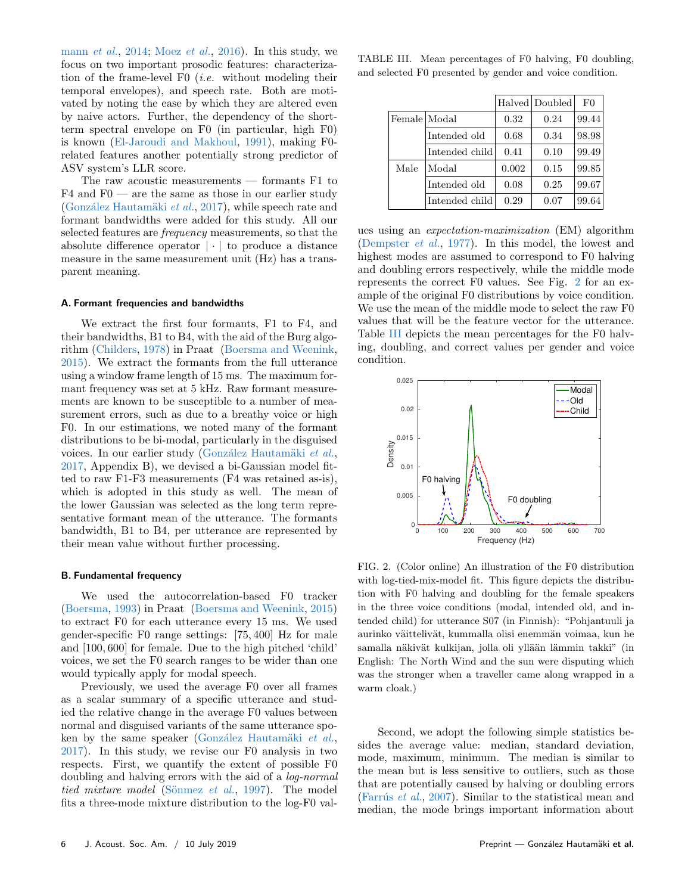[mann](#page-12-33) et al., [2014;](#page-12-33) [Moez](#page-12-34) et al., [2016\)](#page-12-34). In this study, we focus on two important prosodic features: characterization of the frame-level F0 (i.e. without modeling their temporal envelopes), and speech rate. Both are motivated by noting the ease by which they are altered even by naive actors. Further, the dependency of the shortterm spectral envelope on F0 (in particular, high F0) is known [\(El-Jaroudi and Makhoul,](#page-12-35) [1991\)](#page-12-35), making F0 related features another potentially strong predictor of ASV system's LLR score.

The raw acoustic measurements — formants F1 to  $F4$  and  $F0$  — are the same as those in our earlier study (González Hautamäki et al., [2017\)](#page-12-21), while speech rate and formant bandwidths were added for this study. All our selected features are frequency measurements, so that the absolute difference operator  $|\cdot|$  to produce a distance measure in the same measurement unit (Hz) has a transparent meaning.

#### A. Formant frequencies and bandwidths

We extract the first four formants, F1 to F4, and their bandwidths, B1 to B4, with the aid of the Burg algorithm [\(Childers,](#page-11-6) [1978\)](#page-11-6) in Praat [\(Boersma and Weenink,](#page-11-7) [2015\)](#page-11-7). We extract the formants from the full utterance using a window frame length of 15 ms. The maximum formant frequency was set at 5 kHz. Raw formant measurements are known to be susceptible to a number of measurement errors, such as due to a breathy voice or high F0. In our estimations, we noted many of the formant distributions to be bi-modal, particularly in the disguised voices. In our earlier study (González Hautamäki et al., [2017,](#page-12-21) Appendix B), we devised a bi-Gaussian model fitted to raw F1-F3 measurements (F4 was retained as-is), which is adopted in this study as well. The mean of the lower Gaussian was selected as the long term representative formant mean of the utterance. The formants bandwidth, B1 to B4, per utterance are represented by their mean value without further processing.

### B. Fundamental frequency

We used the autocorrelation-based F0 tracker [\(Boersma,](#page-11-8) [1993\)](#page-11-8) in Praat [\(Boersma and Weenink,](#page-11-7) [2015\)](#page-11-7) to extract F0 for each utterance every 15 ms. We used gender-specific F0 range settings: [75, 400] Hz for male and [100, 600] for female. Due to the high pitched 'child' voices, we set the F0 search ranges to be wider than one would typically apply for modal speech.

Previously, we used the average F0 over all frames as a scalar summary of a specific utterance and studied the relative change in the average F0 values between normal and disguised variants of the same utterance spoken by the same speaker (González Hautamäki et al., [2017\)](#page-12-21). In this study, we revise our F0 analysis in two respects. First, we quantify the extent of possible F0 doubling and halving errors with the aid of a log-normal tied mixture model (Sönmez et al., [1997\)](#page-13-5). The model fits a three-mode mixture distribution to the log-F0 val-

TABLE III. Mean percentages of F0 halving, F0 doubling, and selected F0 presented by gender and voice condition.

<span id="page-5-1"></span>

|              |                |       | Halved Doubled | F <sub>0</sub> |
|--------------|----------------|-------|----------------|----------------|
| Female Modal |                | 0.32  | 0.24           | 99.44          |
|              | Intended old   | 0.68  | 0.34           | 98.98          |
|              | Intended child | 0.41  | 0.10           | 99.49          |
| Male         | Modal          | 0.002 | 0.15           | 99.85          |
|              | Intended old   | 0.08  | 0.25           | 99.67          |
|              | Intended child | 0.29  | 0.07           | 99.64          |

ues using an expectation-maximization (EM) algorithm [\(Dempster](#page-12-28) et al., [1977\)](#page-12-28). In this model, the lowest and highest modes are assumed to correspond to F0 halving and doubling errors respectively, while the middle mode represents the correct F0 values. See Fig. [2](#page-5-0) for an example of the original F0 distributions by voice condition. We use the mean of the middle mode to select the raw F0 values that will be the feature vector for the utterance. Table [III](#page-5-1) depicts the mean percentages for the F0 halving, doubling, and correct values per gender and voice condition.



<span id="page-5-0"></span>FIG. 2. (Color online) An illustration of the F0 distribution with log-tied-mix-model fit. This figure depicts the distribution with F0 halving and doubling for the female speakers in the three voice conditions (modal, intended old, and intended child) for utterance S07 (in Finnish): "Pohjantuuli ja aurinko väittelivät, kummalla olisi enemmän voimaa, kun he samalla näkivät kulkijan, jolla oli yllään lämmin takki" (in English: The North Wind and the sun were disputing which was the stronger when a traveller came along wrapped in a warm cloak.)

Second, we adopt the following simple statistics besides the average value: median, standard deviation, mode, maximum, minimum. The median is similar to the mean but is less sensitive to outliers, such as those that are potentially caused by halving or doubling errors (Farrús et al., [2007\)](#page-12-36). Similar to the statistical mean and median, the mode brings important information about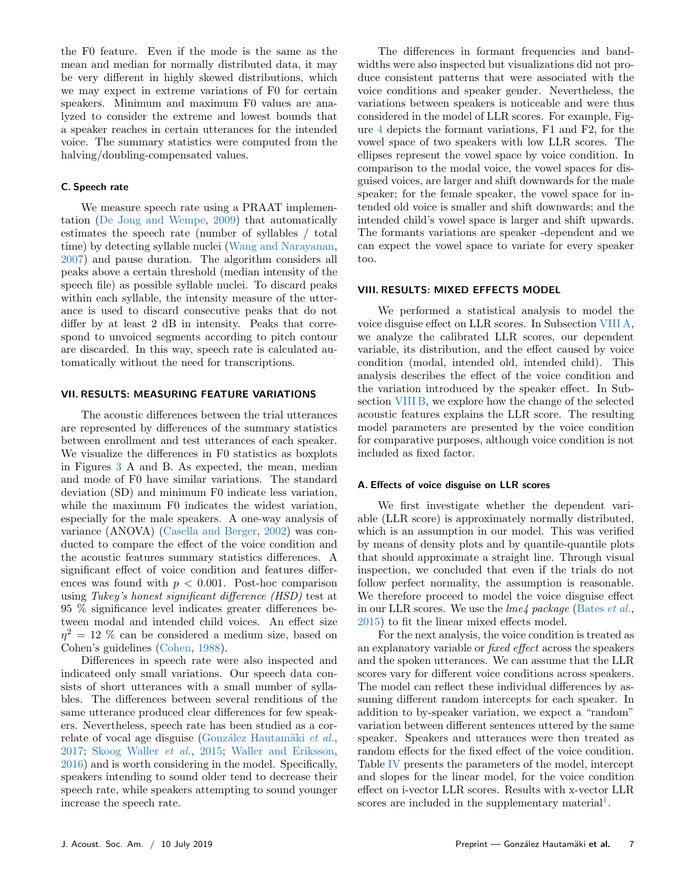the F0 feature. Even if the mode is the same as the mean and median for normally distributed data, it may be very different in highly skewed distributions, which we may expect in extreme variations of F0 for certain speakers. Minimum and maximum F0 values are analyzed to consider the extreme and lowest bounds that a speaker reaches in certain utterances for the intended voice. The summary statistics were computed from the halving/doubling-compensated values.

### C. Speech rate

We measure speech rate using a PRAAT implementation [\(De Jong and Wempe,](#page-11-9) [2009\)](#page-11-9) that automatically estimates the speech rate (number of syllables / total time) by detecting syllable nuclei [\(Wang and Narayanan,](#page-13-6) [2007\)](#page-13-6) and pause duration. The algorithm considers all peaks above a certain threshold (median intensity of the speech file) as possible syllable nuclei. To discard peaks within each syllable, the intensity measure of the utterance is used to discard consecutive peaks that do not differ by at least 2 dB in intensity. Peaks that correspond to unvoiced segments according to pitch contour are discarded. In this way, speech rate is calculated automatically without the need for transcriptions.

## <span id="page-6-0"></span>VII. RESULTS: MEASURING FEATURE VARIATIONS

The acoustic differences between the trial utterances are represented by differences of the summary statistics between enrollment and test utterances of each speaker. We visualize the differences in F0 statistics as boxplots in Figures [3](#page-7-0) A and B. As expected, the mean, median and mode of F0 have similar variations. The standard deviation (SD) and minimum F0 indicate less variation, while the maximum F0 indicates the widest variation, especially for the male speakers. A one-way analysis of variance (ANOVA) [\(Casella and Berger,](#page-11-10) [2002\)](#page-11-10) was conducted to compare the effect of the voice condition and the acoustic features summary statistics differences. A significant effect of voice condition and features differences was found with  $p < 0.001$ . Post-hoc comparison using Tukey's honest significant difference (HSD) test at 95 % significance level indicates greater differences between modal and intended child voices. An effect size  $\eta^2 = 12$  % can be considered a medium size, based on Cohen's guidelines [\(Cohen,](#page-11-11) [1988\)](#page-11-11).

Differences in speech rate were also inspected and indicateed only small variations. Our speech data consists of short utterances with a small number of syllables. The differences between several renditions of the same utterance produced clear differences for few speakers. Nevertheless, speech rate has been studied as a correlate of vocal age disguise (González Hautamäki et al., [2017;](#page-12-21) [Skoog Waller](#page-13-7) et al., [2015;](#page-13-7) [Waller and Eriksson,](#page-13-8) [2016\)](#page-13-8) and is worth considering in the model. Specifically, speakers intending to sound older tend to decrease their speech rate, while speakers attempting to sound younger increase the speech rate.

The differences in formant frequencies and bandwidths were also inspected but visualizations did not produce consistent patterns that were associated with the voice conditions and speaker gender. Nevertheless, the variations between speakers is noticeable and were thus considered in the model of LLR scores. For example, Figure [4](#page-7-1) depicts the formant variations, F1 and F2, for the vowel space of two speakers with low LLR scores. The ellipses represent the vowel space by voice condition. In comparison to the modal voice, the vowel spaces for disguised voices, are larger and shift downwards for the male speaker; for the female speaker, the vowel space for intended old voice is smaller and shift downwards; and the intended child's vowel space is larger and shift upwards. The formants variations are speaker -dependent and we can expect the vowel space to variate for every speaker too.

### <span id="page-6-1"></span>VIII. RESULTS: MIXED EFFECTS MODEL

We performed a statistical analysis to model the voice disguise effect on LLR scores. In Subsection [VIII A,](#page-6-2) we analyze the calibrated LLR scores, our dependent variable, its distribution, and the effect caused by voice condition (modal, intended old, intended child). This analysis describes the effect of the voice condition and the variation introduced by the speaker effect. In Subsection [VIII B,](#page-8-0) we explore how the change of the selected acoustic features explains the LLR score. The resulting model parameters are presented by the voice condition for comparative purposes, although voice condition is not included as fixed factor.

#### <span id="page-6-2"></span>A. Effects of voice disguise on LLR scores

We first investigate whether the dependent variable (LLR score) is approximately normally distributed, which is an assumption in our model. This was verified by means of density plots and by quantile-quantile plots that should approximate a straight line. Through visual inspection, we concluded that even if the trials do not follow perfect normality, the assumption is reasonable. We therefore proceed to model the voice disguise effect in our LLR scores. We use the *lme4* package [\(Bates](#page-11-1) et al., [2015\)](#page-11-1) to fit the linear mixed effects model.

For the next analysis, the voice condition is treated as an explanatory variable or fixed effect across the speakers and the spoken utterances. We can assume that the LLR scores vary for different voice conditions across speakers. The model can reflect these individual differences by assuming different random intercepts for each speaker. In addition to by-speaker variation, we expect a "random" variation between different sentences uttered by the same speaker. Speakers and utterances were then treated as random effects for the fixed effect of the voice condition. Table [IV](#page-8-1) presents the parameters of the model, intercept and slopes for the linear model, for the voice condition effect on i-vector LLR scores. Results with x-vector LLR scores are included in the supplementary material<sup>[1](#page-11-12)</sup>.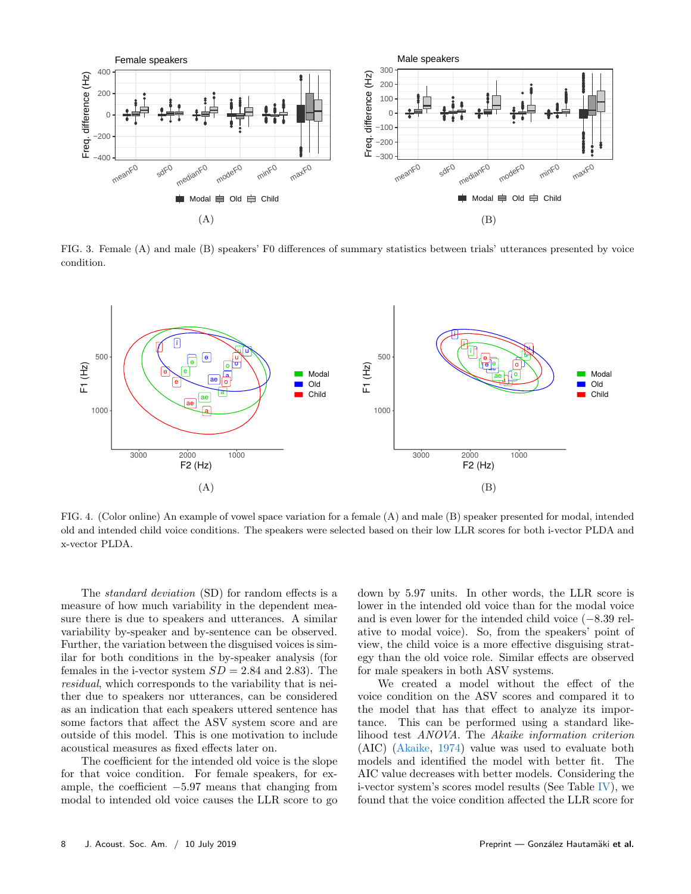

<span id="page-7-0"></span>FIG. 3. Female (A) and male (B) speakers' F0 differences of summary statistics between trials' utterances presented by voice condition.



<span id="page-7-1"></span>FIG. 4. (Color online) An example of vowel space variation for a female (A) and male (B) speaker presented for modal, intended old and intended child voice conditions. The speakers were selected based on their low LLR scores for both i-vector PLDA and x-vector PLDA.

The standard deviation (SD) for random effects is a measure of how much variability in the dependent measure there is due to speakers and utterances. A similar variability by-speaker and by-sentence can be observed. Further, the variation between the disguised voices is similar for both conditions in the by-speaker analysis (for females in the i-vector system  $SD = 2.84$  and 2.83). The residual, which corresponds to the variability that is neither due to speakers nor utterances, can be considered as an indication that each speakers uttered sentence has some factors that affect the ASV system score and are outside of this model. This is one motivation to include acoustical measures as fixed effects later on.

The coefficient for the intended old voice is the slope for that voice condition. For female speakers, for example, the coefficient −5.97 means that changing from modal to intended old voice causes the LLR score to go down by 5.97 units. In other words, the LLR score is lower in the intended old voice than for the modal voice and is even lower for the intended child voice (−8.39 relative to modal voice). So, from the speakers' point of view, the child voice is a more effective disguising strategy than the old voice role. Similar effects are observed for male speakers in both ASV systems.

We created a model without the effect of the voice condition on the ASV scores and compared it to the model that has that effect to analyze its importance. This can be performed using a standard likelihood test ANOVA. The Akaike information criterion (AIC) [\(Akaike,](#page-11-13) [1974\)](#page-11-13) value was used to evaluate both models and identified the model with better fit. The AIC value decreases with better models. Considering the i-vector system's scores model results (See Table [IV\)](#page-8-1), we found that the voice condition affected the LLR score for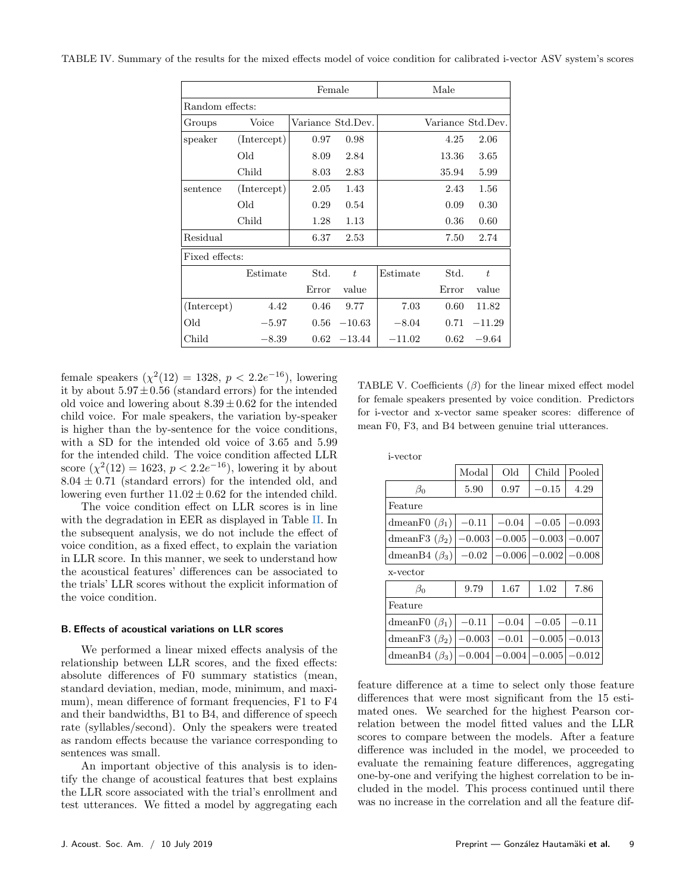<span id="page-8-1"></span>TABLE IV. Summary of the results for the mixed effects model of voice condition for calibrated i-vector ASV system's scores

|                 |             | Female |                   | Male     |       |                   |
|-----------------|-------------|--------|-------------------|----------|-------|-------------------|
| Random effects: |             |        |                   |          |       |                   |
| Groups          | Voice       |        | Variance Std.Dev. |          |       | Variance Std.Dev. |
| speaker         | (Intercept) | 0.97   | 0.98              |          | 4.25  | 2.06              |
|                 | Old         | 8.09   | 2.84              |          | 13.36 | 3.65              |
|                 | Child       | 8.03   | 2.83              |          | 35.94 | 5.99              |
| sentence        | (Intercept) | 2.05   | 1.43              |          | 2.43  | 1.56              |
|                 | Old         | 0.29   | 0.54              |          | 0.09  | 0.30              |
|                 | Child       | 1.28   | 1.13              |          | 0.36  | 0.60              |
| Residual        |             | 6.37   | 2.53              |          | 7.50  | 2.74              |
| Fixed effects:  |             |        |                   |          |       |                   |
|                 | Estimate    | Std.   | t                 | Estimate | Std.  | t                 |
|                 |             | Error  | value             |          | Error | value             |
| (Intercept)     | 4.42        | 0.46   | 9.77              | 7.03     | 0.60  | 11.82             |
| Old             | $-5.97$     | 0.56   | $-10.63$          | $-8.04$  | 0.71  | $-11.29$          |
| Child           | $-8.39$     | 0.62   | $-13.44$          | $-11.02$ | 0.62  | $-9.64$           |

female speakers  $(\chi^2(12) = 1328, p < 2.2e^{-16})$ , lowering it by about  $5.97 \pm 0.56$  (standard errors) for the intended old voice and lowering about  $8.39 \pm 0.62$  for the intended child voice. For male speakers, the variation by-speaker is higher than the by-sentence for the voice conditions, with a SD for the intended old voice of 3.65 and 5.99 for the intended child. The voice condition affected LLR score  $(\chi^2(12) = 1623, p < 2.2e^{-16})$ , lowering it by about  $8.04 \pm 0.71$  (standard errors) for the intended old, and lowering even further  $11.02 \pm 0.62$  for the intended child.

The voice condition effect on LLR scores is in line with the degradation in EER as displayed in Table [II.](#page-4-2) In the subsequent analysis, we do not include the effect of voice condition, as a fixed effect, to explain the variation in LLR score. In this manner, we seek to understand how the acoustical features' differences can be associated to the trials' LLR scores without the explicit information of the voice condition.

#### <span id="page-8-0"></span>B. Effects of acoustical variations on LLR scores

We performed a linear mixed effects analysis of the relationship between LLR scores, and the fixed effects: absolute differences of F0 summary statistics (mean, standard deviation, median, mode, minimum, and maximum), mean difference of formant frequencies, F1 to F4 and their bandwidths, B1 to B4, and difference of speech rate (syllables/second). Only the speakers were treated as random effects because the variance corresponding to sentences was small.

An important objective of this analysis is to identify the change of acoustical features that best explains the LLR score associated with the trial's enrollment and test utterances. We fitted a model by aggregating each <span id="page-8-2"></span>TABLE V. Coefficients  $(\beta)$  for the linear mixed effect model for female speakers presented by voice condition. Predictors for i-vector and x-vector same speaker scores: difference of mean F0, F3, and B4 between genuine trial utterances.

i-vector

|                                 | Modal    | Old      | Child    | Pooled   |
|---------------------------------|----------|----------|----------|----------|
| $\beta_0$                       | 5.90     | 0.97     | $-0.15$  | 4.29     |
| Feature                         |          |          |          |          |
| dmeanF0 $(\beta_1)$             | $-0.11$  | $-0.04$  | $-0.05$  | $-0.093$ |
| dmeanF3 $(\beta_2)$             | $-0.003$ | $-0.005$ | $-0.003$ | $-0.007$ |
| dmean <sub>B4</sub> $(\beta_3)$ | $-0.02$  | $-0.006$ | $-0.002$ | $-0.008$ |
| x-vector                        |          |          |          |          |
| $\beta_0$                       | 9.79     | 1.67     | 1.02     | 7.86     |
| Feature                         |          |          |          |          |
| dmeanF0 $(\beta_1)$             | $-0.11$  | $-0.04$  | $-0.05$  | $-0.11$  |
| dmeanF3 $(\beta_2)$             | $-0.003$ | $-0.01$  | $-0.005$ | $-0.013$ |
| dmean B4 $(\beta_3)$            | $-0.004$ | $-0.004$ | $-0.005$ | $-0.012$ |

feature difference at a time to select only those feature differences that were most significant from the 15 estimated ones. We searched for the highest Pearson correlation between the model fitted values and the LLR scores to compare between the models. After a feature difference was included in the model, we proceeded to evaluate the remaining feature differences, aggregating one-by-one and verifying the highest correlation to be included in the model. This process continued until there was no increase in the correlation and all the feature dif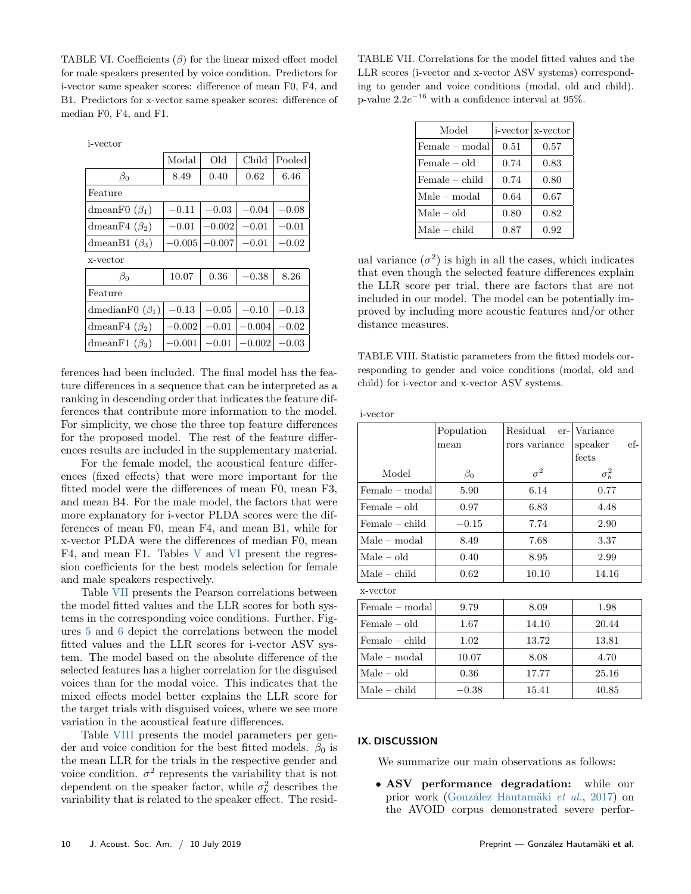<span id="page-9-0"></span>TABLE VI. Coefficients  $(\beta)$  for the linear mixed effect model for male speakers presented by voice condition. Predictors for i-vector same speaker scores: difference of mean F0, F4, and B1. Predictors for x-vector same speaker scores: difference of median F0, F4, and F1.

i-vector

|                                 | Modal    | Old      | Child    | Pooled    |
|---------------------------------|----------|----------|----------|-----------|
| $\beta_0$                       | 8.49     | 0.40     | 0.62     | 6.46      |
| Feature                         |          |          |          |           |
| dmeanF0 $(\beta_1)$             | $-0.11$  | $-0.03$  | $-0.04$  | $-0.08$   |
| dmean <sub>F4</sub> $(\beta_2)$ | $-0.01$  | $-0.002$ | $-0.01$  | $-0.01$   |
| dmeanB1 $(\beta_3)$             | $-0.005$ | $-0.007$ | $-0.01$  | $-0.02$   |
| x-vector                        |          |          |          |           |
| $\beta_0$                       | 10.07    | 0.36     | $-0.38$  | 8.26      |
| Feature                         |          |          |          |           |
| dmedianF0 $(\beta_1)$           | $-0.13$  | $-0.05$  | $-0.10$  | $-0.13$   |
| dmean <sub>F4</sub> $(\beta_2)$ | $-0.002$ | $-0.01$  | $-0.004$ | $-0.02\,$ |
| dmean <sub>F1</sub> $(\beta_3)$ | $-0.001$ | $-0.01$  | $-0.002$ | $-0.03\,$ |

ferences had been included. The final model has the feature differences in a sequence that can be interpreted as a ranking in descending order that indicates the feature differences that contribute more information to the model. For simplicity, we chose the three top feature differences for the proposed model. The rest of the feature differences results are included in the supplementary material.

For the female model, the acoustical feature differences (fixed effects) that were more important for the fitted model were the differences of mean F0, mean F3, and mean B4. For the male model, the factors that were more explanatory for i-vector PLDA scores were the differences of mean F0, mean F4, and mean B1, while for x-vector PLDA were the differences of median F0, mean F4, and mean F1. Tables [V](#page-8-2) and [VI](#page-9-0) present the regression coefficients for the best models selection for female and male speakers respectively.

Table [VII](#page-9-1) presents the Pearson correlations between the model fitted values and the LLR scores for both systems in the corresponding voice conditions. Further, Figures [5](#page-10-0) and [6](#page-10-1) depict the correlations between the model fitted values and the LLR scores for i-vector ASV system. The model based on the absolute difference of the selected features has a higher correlation for the disguised voices than for the modal voice. This indicates that the mixed effects model better explains the LLR score for the target trials with disguised voices, where we see more variation in the acoustical feature differences.

Table [VIII](#page-9-2) presents the model parameters per gender and voice condition for the best fitted models.  $\beta_0$  is the mean LLR for the trials in the respective gender and voice condition.  $\sigma^2$  represents the variability that is not dependent on the speaker factor, while  $\sigma_b^2$  describes the variability that is related to the speaker effect. The resid-

<span id="page-9-1"></span>

| Model            |      | i-vector x-vector |
|------------------|------|-------------------|
| $Female - modal$ | 0.51 | 0.57              |
| $Female - old$   | 0.74 | 0.83              |
| $Female - child$ | 0.74 | 0.80              |
| $Male - modal$   | 0.64 | 0.67              |
| $Male - old$     | 0.80 | 0.82              |
| $Male - child$   | 0.87 | 0.92              |

ual variance  $(\sigma^2)$  is high in all the cases, which indicates that even though the selected feature differences explain the LLR score per trial, there are factors that are not included in our model. The model can be potentially improved by including more acoustic features and/or other distance measures.

<span id="page-9-2"></span>TABLE VIII. Statistic parameters from the fitted models corresponding to gender and voice conditions (modal, old and child) for i-vector and x-vector ASV systems.

|                            | Population<br>mean | Residual<br>er-<br>rors variance | <i>Nariance</i><br>$_{\rm speaker}$<br>$\rm ef$ - |
|----------------------------|--------------------|----------------------------------|---------------------------------------------------|
|                            |                    |                                  | fects                                             |
| Model                      | $\beta_0$          | $\sigma^2$                       | $\sigma_b^2$                                      |
| $Female - modal$           | 5.90               | 6.14                             | 0.77                                              |
| $Female - old$             | 0.97               | 6.83                             | 4.48                                              |
| $Female - child$           | $-0.15$            | 7.74                             | 2.90                                              |
| Male – modal               | 8.49               | 7.68                             | 3.37                                              |
| $\text{Male} - \text{old}$ | 0.40               | 8.95                             | 2.99                                              |
| $Male - child$             | 0.62               | 10.10                            | 14.16                                             |
| x-vector                   |                    |                                  |                                                   |
| $Female - modal$           | 9.79               | 8.09                             | 1.98                                              |
| $Female - old$             | 1.67               | 14.10                            | 20.44                                             |
| $Female - child$           | 1.02               | 13.72                            | 13.81                                             |
| $Male - modal$             | 10.07              | 8.08                             | 4.70                                              |
| $\text{Male} - \text{old}$ | 0.36               | 17.77                            | 25.16                                             |
| $Male - child$             | $-0.38$            | 15.41                            | 40.85                                             |

# IX. DISCUSSION

We summarize our main observations as follows:

• ASV performance degradation: while our prior work (González Hautamäki et al., [2017\)](#page-12-21) on the AVOID corpus demonstrated severe perfor-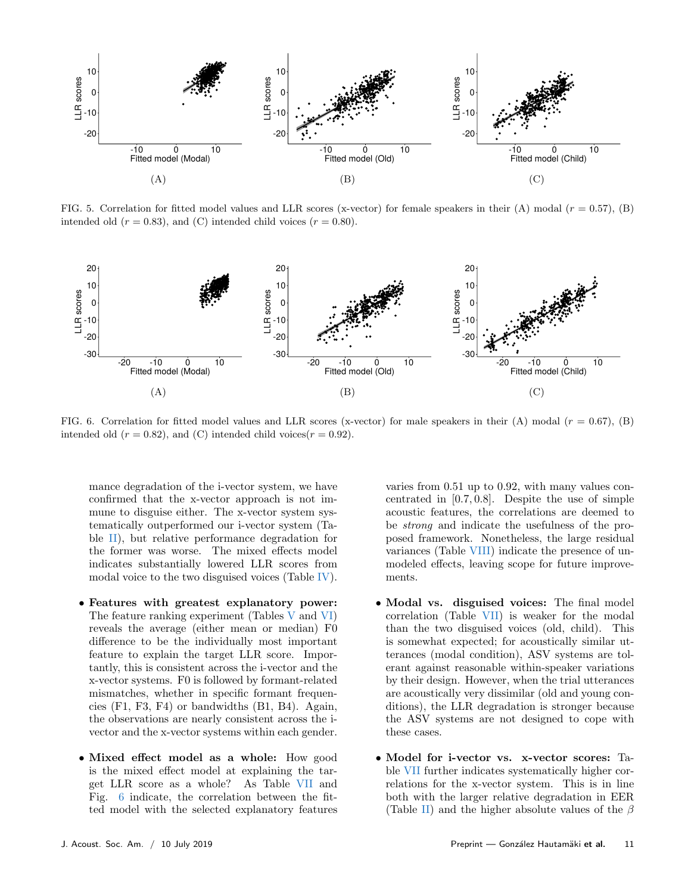

<span id="page-10-0"></span>FIG. 5. Correlation for fitted model values and LLR scores (x-vector) for female speakers in their (A) modal ( $r = 0.57$ ), (B) intended old  $(r = 0.83)$ , and (C) intended child voices  $(r = 0.80)$ .



<span id="page-10-1"></span>FIG. 6. Correlation for fitted model values and LLR scores (x-vector) for male speakers in their (A) modal ( $r = 0.67$ ), (B) intended old ( $r = 0.82$ ), and (C) intended child voices( $r = 0.92$ ).

mance degradation of the i-vector system, we have confirmed that the x-vector approach is not immune to disguise either. The x-vector system systematically outperformed our i-vector system (Table [II\)](#page-4-2), but relative performance degradation for the former was worse. The mixed effects model indicates substantially lowered LLR scores from modal voice to the two disguised voices (Table [IV\)](#page-8-1).

- Features with greatest explanatory power: The feature ranking experiment (Tables [V](#page-8-2) and [VI\)](#page-9-0) reveals the average (either mean or median) F0 difference to be the individually most important feature to explain the target LLR score. Importantly, this is consistent across the i-vector and the x-vector systems. F0 is followed by formant-related mismatches, whether in specific formant frequencies (F1, F3, F4) or bandwidths (B1, B4). Again, the observations are nearly consistent across the ivector and the x-vector systems within each gender.
- Mixed effect model as a whole: How good is the mixed effect model at explaining the target LLR score as a whole? As Table [VII](#page-9-1) and Fig. [6](#page-10-1) indicate, the correlation between the fitted model with the selected explanatory features

varies from 0.51 up to 0.92, with many values concentrated in [0.7, 0.8]. Despite the use of simple acoustic features, the correlations are deemed to be strong and indicate the usefulness of the proposed framework. Nonetheless, the large residual variances (Table [VIII\)](#page-9-2) indicate the presence of unmodeled effects, leaving scope for future improvements.

- Modal vs. disguised voices: The final model correlation (Table [VII\)](#page-9-1) is weaker for the modal than the two disguised voices (old, child). This is somewhat expected; for acoustically similar utterances (modal condition), ASV systems are tolerant against reasonable within-speaker variations by their design. However, when the trial utterances are acoustically very dissimilar (old and young conditions), the LLR degradation is stronger because the ASV systems are not designed to cope with these cases.
- Model for i-vector vs. x-vector scores: Table [VII](#page-9-1) further indicates systematically higher correlations for the x-vector system. This is in line both with the larger relative degradation in EER (Table [II\)](#page-4-2) and the higher absolute values of the  $\beta$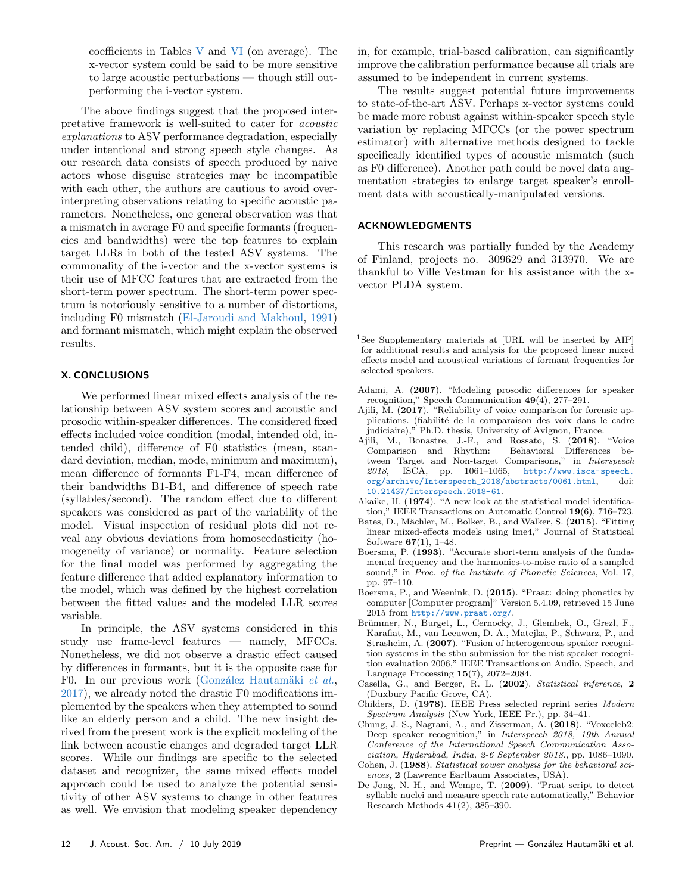coefficients in Tables [V](#page-8-2) and [VI](#page-9-0) (on average). The x-vector system could be said to be more sensitive to large acoustic perturbations — though still outperforming the i-vector system.

The above findings suggest that the proposed interpretative framework is well-suited to cater for acoustic explanations to ASV performance degradation, especially under intentional and strong speech style changes. As our research data consists of speech produced by naive actors whose disguise strategies may be incompatible with each other, the authors are cautious to avoid overinterpreting observations relating to specific acoustic parameters. Nonetheless, one general observation was that a mismatch in average F0 and specific formants (frequencies and bandwidths) were the top features to explain target LLRs in both of the tested ASV systems. The commonality of the i-vector and the x-vector systems is their use of MFCC features that are extracted from the short-term power spectrum. The short-term power spectrum is notoriously sensitive to a number of distortions, including F0 mismatch [\(El-Jaroudi and Makhoul,](#page-12-35) [1991\)](#page-12-35) and formant mismatch, which might explain the observed results.

# X. CONCLUSIONS

We performed linear mixed effects analysis of the relationship between ASV system scores and acoustic and prosodic within-speaker differences. The considered fixed effects included voice condition (modal, intended old, intended child), difference of F0 statistics (mean, standard deviation, median, mode, minimum and maximum), mean difference of formants F1-F4, mean difference of their bandwidths B1-B4, and difference of speech rate (syllables/second). The random effect due to different speakers was considered as part of the variability of the model. Visual inspection of residual plots did not reveal any obvious deviations from homoscedasticity (homogeneity of variance) or normality. Feature selection for the final model was performed by aggregating the feature difference that added explanatory information to the model, which was defined by the highest correlation between the fitted values and the modeled LLR scores variable.

In principle, the ASV systems considered in this study use frame-level features — namely, MFCCs. Nonetheless, we did not observe a drastic effect caused by differences in formants, but it is the opposite case for F0. In our previous work (González Hautamäki et al., [2017\)](#page-12-21), we already noted the drastic F0 modifications implemented by the speakers when they attempted to sound like an elderly person and a child. The new insight derived from the present work is the explicit modeling of the link between acoustic changes and degraded target LLR scores. While our findings are specific to the selected dataset and recognizer, the same mixed effects model approach could be used to analyze the potential sensitivity of other ASV systems to change in other features as well. We envision that modeling speaker dependency

in, for example, trial-based calibration, can significantly improve the calibration performance because all trials are assumed to be independent in current systems.

The results suggest potential future improvements to state-of-the-art ASV. Perhaps x-vector systems could be made more robust against within-speaker speech style variation by replacing MFCCs (or the power spectrum estimator) with alternative methods designed to tackle specifically identified types of acoustic mismatch (such as F0 difference). Another path could be novel data augmentation strategies to enlarge target speaker's enrollment data with acoustically-manipulated versions.

## ACKNOWLEDGMENTS

This research was partially funded by the Academy of Finland, projects no. 309629 and 313970. We are thankful to Ville Vestman for his assistance with the xvector PLDA system.

<span id="page-11-12"></span><sup>1</sup>See Supplementary materials at [URL will be inserted by AIP] for additional results and analysis for the proposed linear mixed effects model and acoustical variations of formant frequencies for selected speakers.

- <span id="page-11-4"></span>Adami, A. (2007). "Modeling prosodic differences for speaker recognition," Speech Communication 49(4), 277–291.
- <span id="page-11-0"></span>Ajili, M. (2017). "Reliability of voice comparison for forensic applications. (fiabilit´e de la comparaison des voix dans le cadre judiciaire)," Ph.D. thesis, University of Avignon, France.
- <span id="page-11-5"></span>Ajili, M., Bonastre, J.-F., and Rossato, S. (2018). "Voice Comparison and Rhythm: tween Target and Non-target Comparisons," in Interspeech<br>2018. ISCA, pp. 1061-1065, http://www.isca-speech. 2018, ISCA, pp. 1061–1065, [http://www.isca-speech.](http://http://www.isca-speech.org/archive/Interspeech_2018/abstracts/0061.html) [org/archive/Interspeech\\_2018/abstracts/0061.html](http://http://www.isca-speech.org/archive/Interspeech_2018/abstracts/0061.html), [10.21437/Interspeech.2018-61](http://dx.doi.org/10.21437/Interspeech.2018-61).
- <span id="page-11-13"></span>Akaike, H. (1974). "A new look at the statistical model identification," IEEE Transactions on Automatic Control 19(6), 716–723.
- <span id="page-11-1"></span>Bates, D., Mächler, M., Bolker, B., and Walker, S. (2015). "Fitting linear mixed-effects models using lme4," Journal of Statistical Software 67(1), 1–48.
- <span id="page-11-8"></span>Boersma, P.  $(1993)$ . "Accurate short-term analysis of the fundamental frequency and the harmonics-to-noise ratio of a sampled sound," in Proc. of the Institute of Phonetic Sciences, Vol. 17, pp. 97–110.
- <span id="page-11-7"></span>Boersma, P., and Weenink, D. (2015). "Praat: doing phonetics by computer [Computer program]" Version 5.4.09, retrieved 15 June 2015 from <http://www.praat.org/>.
- <span id="page-11-3"></span>Brümmer, N., Burget, L., Cernocky, J., Glembek, O., Grezl, F., Karafiat, M., van Leeuwen, D. A., Matejka, P., Schwarz, P., and Strasheim, A. (2007). "Fusion of heterogeneous speaker recognition systems in the stbu submission for the nist speaker recognition evaluation 2006," IEEE Transactions on Audio, Speech, and Language Processing 15(7), 2072–2084.
- <span id="page-11-10"></span>Casella, G., and Berger, R. L. (2002). Statistical inference, 2 (Duxbury Pacific Grove, CA).
- <span id="page-11-6"></span>Childers, D. (1978). IEEE Press selected reprint series Modern Spectrum Analysis (New York, IEEE Pr.), pp. 34–41.
- <span id="page-11-2"></span>Chung, J. S., Nagrani, A., and Zisserman, A. (2018). "Voxceleb2: Deep speaker recognition," in Interspeech 2018, 19th Annual Conference of the International Speech Communication Association, Hyderabad, India, 2-6 September 2018., pp. 1086–1090.
- <span id="page-11-11"></span>Cohen, J. (1988). Statistical power analysis for the behavioral sciences, 2 (Lawrence Earlbaum Associates, USA).
- <span id="page-11-9"></span>De Jong, N. H., and Wempe, T. (2009). "Praat script to detect syllable nuclei and measure speech rate automatically," Behavior Research Methods 41(2), 385–390.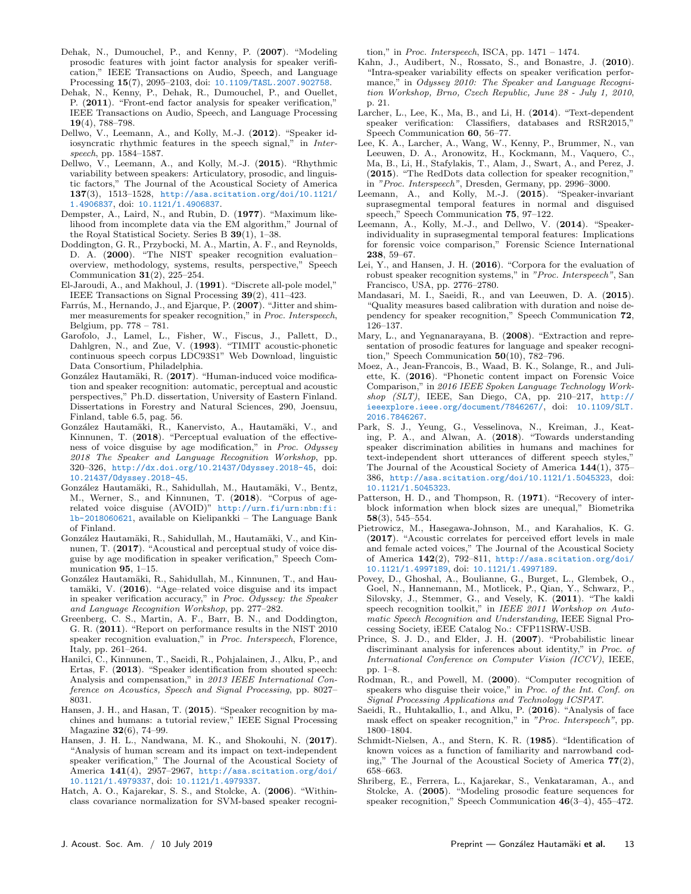- <span id="page-12-31"></span>Dehak, N., Dumouchel, P., and Kenny, P. (2007). "Modeling prosodic features with joint factor analysis for speaker verification," IEEE Transactions on Audio, Speech, and Language Processing 15(7), 2095–2103, doi: [10.1109/TASL.2007.902758](http://dx.doi.org/10.1109/TASL.2007.902758).
- <span id="page-12-26"></span>Dehak, N., Kenny, P., Dehak, R., Dumouchel, P., and Ouellet, P. (2011). "Front-end factor analysis for speaker verification," IEEE Transactions on Audio, Speech, and Language Processing 19(4), 788–798.
- <span id="page-12-32"></span>Dellwo, V., Leemann, A., and Kolly, M.-J. (2012). "Speaker idiosyncratic rhythmic features in the speech signal," in Interspeech, pp. 1584–1587.
- <span id="page-12-20"></span>Dellwo, V., Leemann, A., and Kolly, M.-J. (2015). "Rhythmic variability between speakers: Articulatory, prosodic, and linguistic factors," The Journal of the Acoustical Society of America 137(3), 1513–1528, [http://asa.scitation.org/doi/10.1121/](http://http://asa.scitation.org/doi/10.1121/1.4906837) [1.4906837](http://http://asa.scitation.org/doi/10.1121/1.4906837), doi: [10.1121/1.4906837](http://dx.doi.org/10.1121/1.4906837).
- <span id="page-12-28"></span>Dempster, A., Laird, N., and Rubin, D. (1977). "Maximum likelihood from incomplete data via the EM algorithm," Journal of the Royal Statistical Society. Series B 39(1), 1–38.
- <span id="page-12-2"></span>Doddington, G. R., Przybocki, M. A., Martin, A. F., and Reynolds, D. A. (2000). "The NIST speaker recognition evaluation– overview, methodology, systems, results, perspective," Speech Communication **31**(2), 225-254.
- <span id="page-12-35"></span>El-Jaroudi, A., and Makhoul, J. (1991). "Discrete all-pole model," IEEE Transactions on Signal Processing 39(2), 411–423.
- <span id="page-12-36"></span>Farrús, M., Hernando, J., and Ejarque, P. (2007). "Jitter and shimmer measurements for speaker recognition," in Proc. Interspeech, Belgium, pp. 778 – 781.
- <span id="page-12-4"></span>Garofolo, J., Lamel, L., Fisher, W., Fiscus, J., Pallett, D., Dahlgren, N., and Zue, V. (1993). "TIMIT acoustic-phonetic continuous speech corpus LDC93S1" Web Download, linguistic Data Consortium, Philadelphia.
- <span id="page-12-24"></span>González Hautamäki, R. (2017). "Human-induced voice modification and speaker recognition: automatic, perceptual and acoustic perspectives," Ph.D. dissertation, University of Eastern Finland. Dissertations in Forestry and Natural Sciences, 290, Joensuu, Finland, table 6.5, pag. 56.
- <span id="page-12-22"></span>González Hautamäki, R., Kanervisto, A., Hautamäki, V., and Kinnunen, T. (2018). "Perceptual evaluation of the effectiveness of voice disguise by age modification," in Proc. Odyssey 2018 The Speaker and Language Recognition Workshop, pp. 320–326, [http://dx.doi.org/10.21437/Odyssey.2018-45](http://http://dx.doi.org/10.21437/Odyssey.2018-45), doi: [10.21437/Odyssey.2018-45](http://dx.doi.org/10.21437/Odyssey.2018-45).
- <span id="page-12-23"></span>González Hautamäki, R., Sahidullah, M., Hautamäki, V., Bentz, M., Werner, S., and Kinnunen, T. (2018). "Corpus of agerelated voice disguise (AVOID)" [http://urn.fi/urn:nbn:fi:](http://http://urn.fi/urn:nbn:fi:lb-2018060621) [lb-2018060621](http://http://urn.fi/urn:nbn:fi:lb-2018060621), available on Kielipankki – The Language Bank of Finland.
- <span id="page-12-21"></span>González Hautamäki, R., Sahidullah, M., Hautamäki, V., and Kinnunen, T. (2017). "Acoustical and perceptual study of voice disguise by age modification in speaker verification," Speech Communication 95, 1–15.
- <span id="page-12-12"></span>González Hautamäki, R., Sahidullah, M., Kinnunen, T., and Hautamäki, V. (2016). "Age–related voice disguise and its impact in speaker verification accuracy," in Proc. Odyssey: the Speaker and Language Recognition Workshop, pp. 277–282.
- <span id="page-12-8"></span>Greenberg, C. S., Martin, A. F., Barr, B. N., and Doddington, G. R. (2011). "Report on performance results in the NIST 2010 speaker recognition evaluation," in Proc. Interspeech, Florence, Italy, pp. 261–264.
- <span id="page-12-16"></span>Hanilci, C., Kinnunen, T., Saeidi, R., Pohjalainen, J., Alku, P., and Ertas, F. (2013). "Speaker identification from shouted speech: Analysis and compensation," in 2013 IEEE International Conference on Acoustics, Speech and Signal Processing, pp. 8027– 8031.
- <span id="page-12-0"></span>Hansen, J. H., and Hasan, T. (2015). "Speaker recognition by machines and humans: a tutorial review," IEEE Signal Processing Magazine 32(6), 74–99.
- <span id="page-12-17"></span>Hansen, J. H. L., Nandwana, M. K., and Shokouhi, N. (2017). "Analysis of human scream and its impact on text-independent speaker verification," The Journal of the Acoustical Society of America 141(4), 2957–2967, [http://asa.scitation.org/doi/](http://http://asa.scitation.org/doi/10.1121/1.4979337) [10.1121/1.4979337](http://http://asa.scitation.org/doi/10.1121/1.4979337), doi: [10.1121/1.4979337](http://dx.doi.org/10.1121/1.4979337).
- <span id="page-12-9"></span>Hatch, A. O., Kajarekar, S. S., and Stolcke, A. (2006). "Withinclass covariance normalization for SVM-based speaker recogni-

tion," in Proc. Interspeech, ISCA, pp.  $1471 - 1474$ .

- <span id="page-12-7"></span>Kahn, J., Audibert, N., Rossato, S., and Bonastre, J. (2010). "Intra-speaker variability effects on speaker verification performance," in Odyssey 2010: The Speaker and Language Recognition Workshop, Brno, Czech Republic, June 28 - July 1, 2010, p. 21.
- <span id="page-12-5"></span>Larcher, L., Lee, K., Ma, B., and Li, H. (2014). "Text-dependent speaker verification: Classifiers, databases and RSR2015," Speech Communication 60, 56–77.
- <span id="page-12-6"></span>Lee, K. A., Larcher, A., Wang, W., Kenny, P., Brummer, N., van Leeuwen, D. A., Aronowitz, H., Kockmann, M., Vaquero, C., Ma, B., Li, H., Stafylakis, T., Alam, J., Swart, A., and Perez, J. (2015). "The RedDots data collection for speaker recognition," in "Proc. Interspeech", Dresden, Germany, pp. 2996–3000.
- <span id="page-12-13"></span>Leemann, A., and Kolly, M.-J. (2015). "Speaker-invariant suprasegmental temporal features in normal and disguised speech," Speech Communication 75, 97–122.
- <span id="page-12-33"></span>Leemann, A., Kolly, M.-J., and Dellwo, V. (2014). "Speakerindividuality in suprasegmental temporal features: Implications for forensic voice comparison," Forensic Science International 238, 59–67.
- <span id="page-12-3"></span>Lei, Y., and Hansen, J. H. (2016). "Corpora for the evaluation of robust speaker recognition systems," in "Proc. Interspeech", San Francisco, USA, pp. 2776–2780.
- <span id="page-12-25"></span>Mandasari, M. I., Saeidi, R., and van Leeuwen, D. A. (2015). "Quality measures based calibration with duration and noise dependency for speaker recognition," Speech Communication 72, 126–137.
- <span id="page-12-29"></span>Mary, L., and Yegnanarayana, B. (2008). "Extraction and representation of prosodic features for language and speaker recognition," Speech Communication  $50(10)$ , 782–796.
- <span id="page-12-34"></span>Moez, A., Jean-Francois, B., Waad, B. K., Solange, R., and Juliette, K. (2016). "Phonetic content impact on Forensic Voice Comparison," in 2016 IEEE Spoken Language Technology Workshop (SLT), IEEE, San Diego, CA, pp. 210–217, [http://](http://http://ieeexplore.ieee.org/document/7846267/) [ieeexplore.ieee.org/document/7846267/](http://http://ieeexplore.ieee.org/document/7846267/), doi: [10.1109/SLT.](http://dx.doi.org/10.1109/SLT.2016.7846267) [2016.7846267](http://dx.doi.org/10.1109/SLT.2016.7846267).
- <span id="page-12-19"></span>Park, S. J., Yeung, G., Vesselinova, N., Kreiman, J., Keating, P. A., and Alwan, A. (2018). "Towards understanding speaker discrimination abilities in humans and machines for text-independent short utterances of different speech styles," The Journal of the Acoustical Society of America 144(1), 375– 386, [http://asa.scitation.org/doi/10.1121/1.5045323](http://http://asa.scitation.org/doi/10.1121/1.5045323), doi: [10.1121/1.5045323](http://dx.doi.org/10.1121/1.5045323).
- <span id="page-12-15"></span>Patterson, H. D., and Thompson, R. (1971). "Recovery of interblock information when block sizes are unequal," Biometrika 58(3), 545–554.
- <span id="page-12-18"></span>Pietrowicz, M., Hasegawa-Johnson, M., and Karahalios, K. G. (2017). "Acoustic correlates for perceived effort levels in male and female acted voices," The Journal of the Acoustical Society of America 142(2), 792–811, [http://asa.scitation.org/doi/](http://http://asa.scitation.org/doi/10.1121/1.4997189) [10.1121/1.4997189](http://http://asa.scitation.org/doi/10.1121/1.4997189), doi: [10.1121/1.4997189](http://dx.doi.org/10.1121/1.4997189).
- <span id="page-12-27"></span>Povey, D., Ghoshal, A., Boulianne, G., Burget, L., Glembek, O., Goel, N., Hannemann, M., Motlicek, P., Qian, Y., Schwarz, P., Silovsky, J., Stemmer, G., and Vesely, K. (2011). "The kaldi speech recognition toolkit," in IEEE 2011 Workshop on Automatic Speech Recognition and Understanding, IEEE Signal Processing Society, iEEE Catalog No.: CFP11SRW-USB.
- <span id="page-12-10"></span>Prince, S. J. D., and Elder, J. H. (2007). "Probabilistic linear discriminant analysis for inferences about identity," in Proc. of International Conference on Computer Vision (ICCV), IEEE, pp. 1–8.
- <span id="page-12-11"></span>Rodman, R., and Powell, M. (2000). "Computer recognition of speakers who disguise their voice," in Proc. of the Int. Conf. on Signal Processing Applications and Technology ICSPAT.
- <span id="page-12-14"></span>Saeidi, R., Huhtakallio, I., and Alku, P. (2016). "Analysis of face mask effect on speaker recognition," in "Proc. Interspeech", pp. 1800–1804.
- <span id="page-12-1"></span>Schmidt-Nielsen, A., and Stern, K. R. (1985). "Identification of known voices as a function of familiarity and narrowband coding," The Journal of the Acoustical Society of America 77(2), 658–663.
- <span id="page-12-30"></span>Shriberg, E., Ferrera, L., Kajarekar, S., Venkataraman, A., and Stolcke, A. (2005). "Modeling prosodic feature sequences for speaker recognition," Speech Communication  $46(3-4)$ , 455-472.